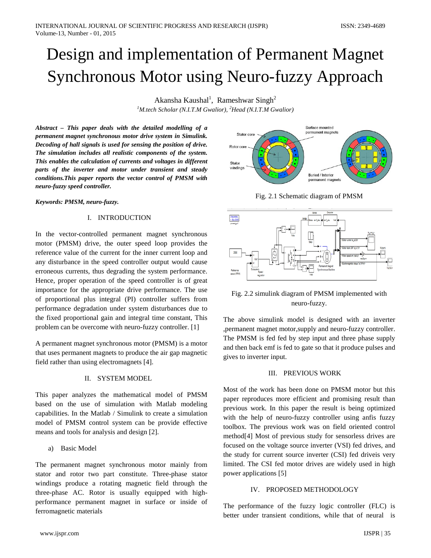# Design and implementation of Permanent Magnet Synchronous Motor using Neuro-fuzzy Approach

Akansha Kaushal<sup>1</sup>, Rameshwar Singh<sup>2</sup>

*1 M.tech Scholar (N.I.T.M Gwalior), <sup>2</sup> Head (N.I.T.M Gwalior)*

*Abstract – This paper deals with the detailed modelling of a permanent magnet synchronous motor drive system in Simulink. Decoding of hall signals is used for sensing the position of drive. The simulation includes all realistic components of the system. This enables the calculation of currents and voltages in different parts of the inverter and motor under transient and steady conditions.This paper reports the vector control of PMSM with neuro-fuzzy speed controller.*

*Keywords: PMSM, neuro-fuzzy.*

# I. INTRODUCTION

In the vector-controlled permanent magnet synchronous motor (PMSM) drive, the outer speed loop provides the reference value of the current for the inner current loop and any disturbance in the speed controller output would cause erroneous currents, thus degrading the system performance. Hence, proper operation of the speed controller is of great importance for the appropriate drive performance. The use of proportional plus integral (PI) controller suffers from performance degradation under system disturbances due to the fixed proportional gain and integral time constant, This problem can be overcome with neuro-fuzzy controller. [1]

A permanent magnet synchronous motor (PMSM) is a motor that uses permanent magnets to produce the air gap magnetic field rather than using electromagnets [4].

# II. SYSTEM MODEL

This paper analyzes the mathematical model of PMSM based on the use of simulation with Matlab modeling capabilities. In the Matlab / Simulink to create a simulation model of PMSM control system can be provide effective means and tools for analysis and design [2].

a) Basic Model

The permanent magnet synchronous motor mainly from stator and rotor two part constitute. Three-phase stator windings produce a rotating magnetic field through the three-phase AC. Rotor is usually equipped with highperformance permanent magnet in surface or inside of ferromagnetic materials



Fig. 2.1 Schematic diagram of PMSM



Fig. 2.2 simulink diagram of PMSM implemented with neuro-fuzzy.

The above simulink model is designed with an inverter ,permanent magnet motor,supply and neuro-fuzzy controller. The PMSM is fed fed by step input and three phase supply and then back emf is fed to gate so that it produce pulses and gives to inverter input.

# III. PREVIOUS WORK

Most of the work has been done on PMSM motor but this paper reproduces more efficient and promising result than previous work. In this paper the result is being optimized with the help of neuro-fuzzy controller using anfis fuzzy toolbox. The previous work was on field oriented control method[4] Most of previous study for sensorless drives are focused on the voltage source inverter (VSI) fed drives, and the study for current source inverter (CSI) fed driveis very limited. The CSI fed motor drives are widely used in high power applications [5]

# IV. PROPOSED METHODOLOGY

The performance of the fuzzy logic controller (FLC) is better under transient conditions, while that of neural is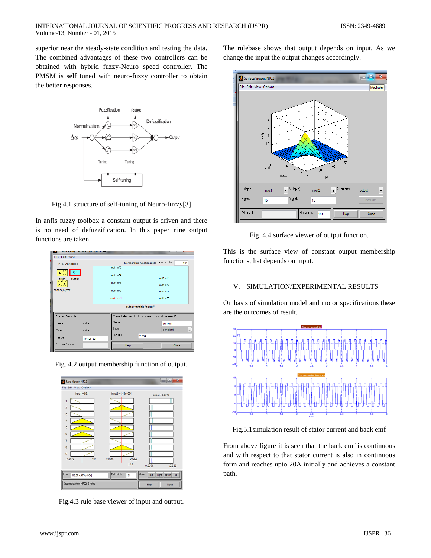superior near the steady-state condition and testing the data. The combined advantages of these two controllers can be obtained with hybrid fuzzy-Neuro speed controller. The PMSM is self tuned with neuro-fuzzy controller to obtain the better responses.



Fig.4.1 structure of self-tuning of Neuro-fuzzy[3]

In anfis fuzzy toolbox a constant output is driven and there is no need of defuzzification. In this paper nine output functions are taken.

| File Edit View             |         |                                                     |                           |                       |  |
|----------------------------|---------|-----------------------------------------------------|---------------------------|-----------------------|--|
| <b>FIS Variables</b>       |         |                                                     | Membership function plots | plot points:<br>181   |  |
|                            |         | out1mf5                                             |                           |                       |  |
| f(u)<br>output<br>error    | out1mf4 |                                                     |                           | out1mf9               |  |
|                            |         | out1mf3                                             |                           | out1mf8               |  |
| change <sub>, n</sub> rror |         | $\text{out1mf2}$                                    |                           | out1mf7               |  |
|                            |         | out1mf1                                             |                           | $\text{out}$ 1mf6     |  |
| output variable "output"   |         |                                                     |                           |                       |  |
| Current Variable           |         | Current Membership Function (click on MF to select) |                           |                       |  |
| Name<br>output             |         |                                                     |                           | out1mf1               |  |
| Type<br>output             |         |                                                     |                           | $\ddot{}$<br>constant |  |
| Range<br>[41.95 50]        |         | Params                                              | 2.394                     |                       |  |
| Display Range              |         | Help                                                |                           | Close                 |  |

Fig. 4.2 output membership function of output.



Fig.4.3 rule base viewer of input and output.

The rulebase shows that output depends on input. As we change the input the output changes accordingly.



Fig. 4.4 surface viewer of output function.

This is the surface view of constant output membership functions,that depends on input.

#### V. SIMULATION/EXPERIMENTAL RESULTS

On basis of simulation model and motor specifications these are the outcomes of result.



Fig.5.1simulation result of stator current and back emf

From above figure it is seen that the back emf is continuous and with respect to that stator current is also in continuous form and reaches upto 20A initially and achieves a constant path.